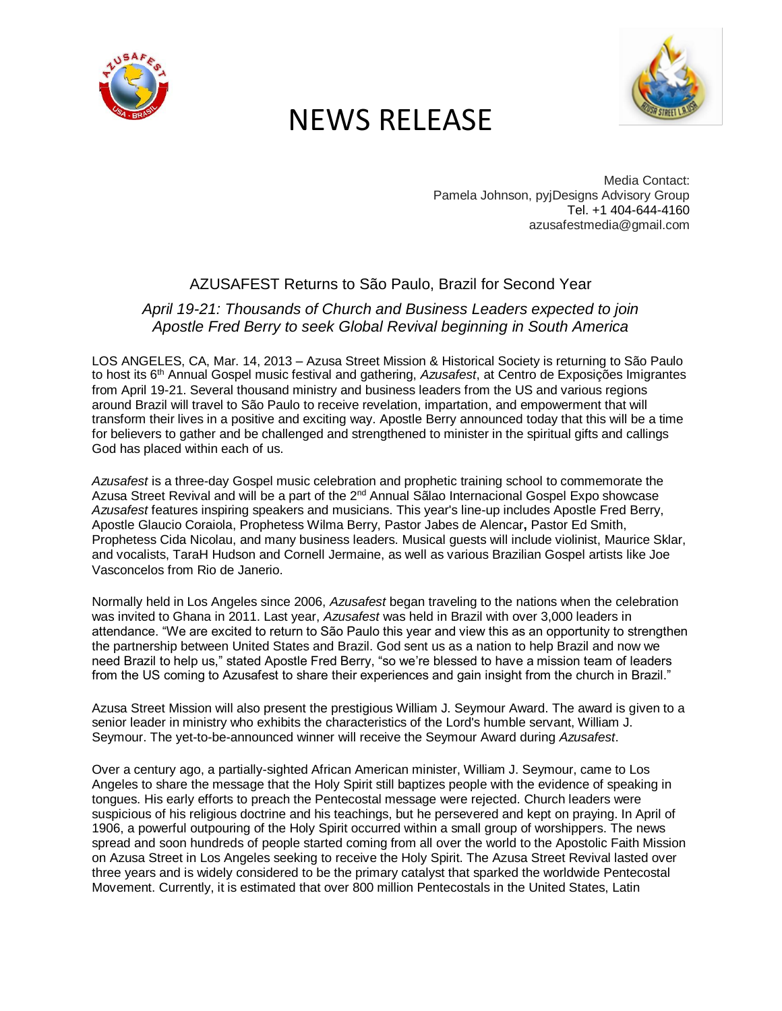

# NEWS RELEASE



Media Contact: Pamela Johnson, pyjDesigns Advisory Group Tel[. +1 404-644-4160](tel:+1%20404-644-4160) azusafestmedia@gmail.com

### AZUSAFEST Returns to São Paulo, Brazil for Second Year

### *April 19-21: Thousands of Church and Business Leaders expected to join Apostle Fred Berry to seek Global Revival beginning in South America*

LOS ANGELES, CA, Mar. 14, 2013 – Azusa Street Mission & Historical Society is returning to São Paulo to host its 6th Annual Gospel music festival and gathering, *Azusafest*, at Centro de Exposições Imigrantes from April 19-21. Several thousand ministry and business leaders from the US and various regions around Brazil will travel to São Paulo to receive revelation, impartation, and empowerment that will transform their lives in a positive and exciting way. Apostle Berry announced today that this will be a time for believers to gather and be challenged and strengthened to minister in the spiritual gifts and callings God has placed within each of us.

*Azusafest* is a three-day Gospel music celebration and prophetic training school to commemorate the Azusa Street Revival and will be a part of the 2<sup>nd</sup> Annual Salao Internacional Gospel Expo showcase *Azusafest* features inspiring speakers and musicians. This year's line-up includes Apostle Fred Berry, Apostle Glaucio Coraiola, Prophetess Wilma Berry, Pastor Jabes de Alencar**,** Pastor Ed Smith, Prophetess Cida Nicolau, and many business leaders. Musical guests will include violinist, Maurice Sklar, and vocalists, TaraH Hudson and Cornell Jermaine, as well as various Brazilian Gospel artists like Joe Vasconcelos from Rio de Janerio.

Normally held in Los Angeles since 2006, *Azusafest* began traveling to the nations when the celebration was invited to Ghana in 2011. Last year, *Azusafest* was held in Brazil with over 3,000 leaders in attendance. "We are excited to return to São Paulo this year and view this as an opportunity to strengthen the partnership between United States and Brazil. God sent us as a nation to help Brazil and now we need Brazil to help us," stated Apostle Fred Berry, "so we're blessed to have a mission team of leaders from the US coming to Azusafest to share their experiences and gain insight from the church in Brazil."

Azusa Street Mission will also present the prestigious William J. Seymour Award. The award is given to a senior leader in ministry who exhibits the characteristics of the Lord's humble servant, William J. Seymour. The yet-to-be-announced winner will receive the Seymour Award during *Azusafest*.

Over a century ago, a partially-sighted African American minister, William J. Seymour, came to Los Angeles to share the message that the Holy Spirit still baptizes people with the evidence of speaking in tongues. His early efforts to preach the Pentecostal message were rejected. Church leaders were suspicious of his religious doctrine and his teachings, but he persevered and kept on praying. In April of 1906, a powerful outpouring of the Holy Spirit occurred within a small group of worshippers. The news spread and soon hundreds of people started coming from all over the world to the Apostolic Faith Mission on Azusa Street in Los Angeles seeking to receive the Holy Spirit. The Azusa Street Revival lasted over three years and is widely considered to be the primary catalyst that sparked the worldwide Pentecostal Movement. Currently, it is estimated that over 800 million Pentecostals in the United States, Latin